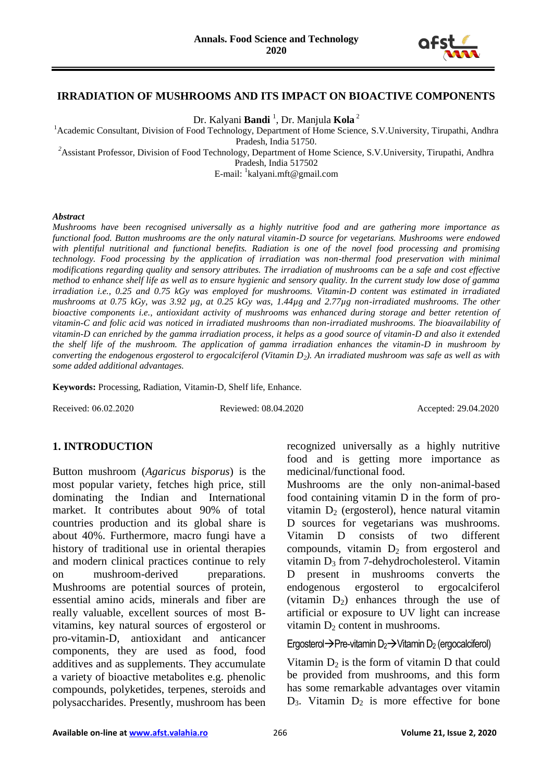

#### **IRRADIATION OF MUSHROOMS AND ITS IMPACT ON BIOACTIVE COMPONENTS**

Dr. Kalyani **Bandi** <sup>1</sup> , Dr. Manjula **Kola** <sup>2</sup>

<sup>1</sup> Academic Consultant, Division of Food Technology, Department of Home Science, S.V.University, Tirupathi, Andhra Pradesh, India 51750.

<sup>2</sup>Assistant Professor, Division of Food Technology, Department of Home Science, S.V.University, Tirupathi, Andhra

Pradesh, India 517502

E-mail: <sup>1</sup>kalyani.mft@gmail.com

#### *Abstract*

*Mushrooms have been recognised universally as a highly nutritive food and are gathering more importance as functional food. Button mushrooms are the only natural vitamin-D source for vegetarians. Mushrooms were endowed with plentiful nutritional and functional benefits. Radiation is one of the novel food processing and promising technology. Food processing by the application of irradiation was non-thermal food preservation with minimal modifications regarding quality and sensory attributes. The irradiation of mushrooms can be a safe and cost effective method to enhance shelf life as well as to ensure hygienic and sensory quality. In the current study low dose of gamma irradiation i.e., 0.25 and 0.75 kGy was employed for mushrooms. Vitamin-D content was estimated in irradiated mushrooms at 0.75 kGy, was 3.92 µg, at 0.25 kGy was, 1.44µg and 2.77µg non-irradiated mushrooms. The other bioactive components i.e., antioxidant activity of mushrooms was enhanced during storage and better retention of vitamin-C and folic acid was noticed in irradiated mushrooms than non-irradiated mushrooms. The bioavailability of vitamin-D can enriched by the gamma irradiation process, it helps as a good source of vitamin-D and also it extended the shelf life of the mushroom. The application of gamma irradiation enhances the vitamin-D in mushroom by converting the endogenous ergosterol to ergocalciferol (Vitamin D2). An irradiated mushroom was safe as well as with some added additional advantages.*

**Keywords:** Processing, Radiation, Vitamin-D, Shelf life, Enhance.

Received: 06.02.2020 Reviewed: 08.04.2020 Accepted: 29.04.2020

# **1. INTRODUCTION**

Button mushroom (*Agaricus bisporus*) is the most popular variety, fetches high price, still dominating the Indian and International market. It contributes about 90% of total countries production and its global share is about 40%. Furthermore, macro fungi have a history of traditional use in oriental therapies and modern clinical practices continue to rely on mushroom-derived preparations. Mushrooms are potential sources of protein, essential amino acids, minerals and fiber are really valuable, excellent sources of most Bvitamins, key natural sources of ergosterol or pro-vitamin-D, antioxidant and anticancer components, they are used as food, food additives and as supplements. They accumulate a variety of bioactive metabolites e.g. phenolic compounds, polyketides, terpenes, steroids and polysaccharides. Presently, mushroom has been recognized universally as a highly nutritive food and is getting more importance as medicinal/functional food.

Mushrooms are the only non-animal-based food containing vitamin D in the form of provitamin  $D_2$  (ergosterol), hence natural vitamin D sources for vegetarians was mushrooms. Vitamin D consists of two different compounds, vitamin  $D_2$  from ergosterol and vitamin D<sub>3</sub> from 7-dehydrocholesterol. Vitamin D present in mushrooms converts the endogenous ergosterol to ergocalciferol (vitamin  $D_2$ ) enhances through the use of artificial or exposure to UV light can increase vitamin  $D_2$  content in mushrooms.

#### Ergosterol $\rightarrow$ Pre-vitamin D<sub>2</sub> $\rightarrow$ Vitamin D<sub>2</sub> (ergocalciferol)

Vitamin  $D_2$  is the form of vitamin D that could be provided from mushrooms, and this form has some remarkable advantages over vitamin  $D_3$ . Vitamin  $D_2$  is more effective for bone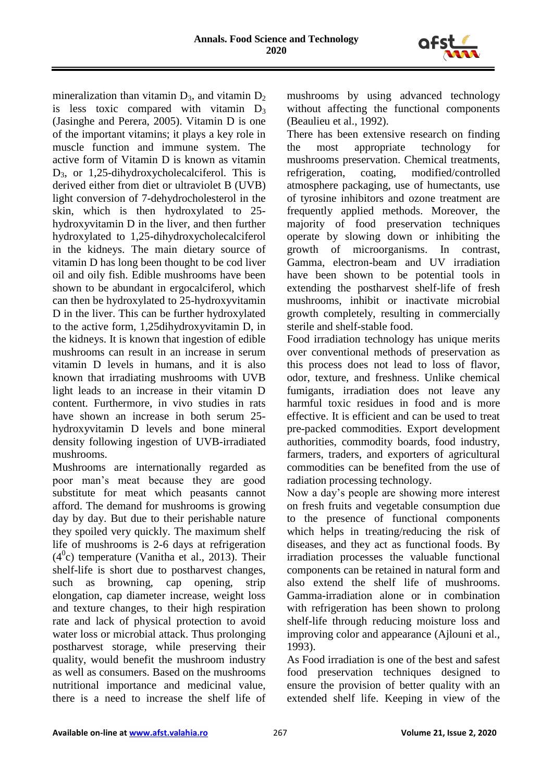

mineralization than vitamin  $D_3$ , and vitamin  $D_2$ is less toxic compared with vitamin  $D_3$ (Jasinghe and Perera, 2005). Vitamin D is one of the important vitamins; it plays a key role in muscle function and immune system. The active form of Vitamin D is known as vitamin D3, or 1,25-dihydroxycholecalciferol. This is derived either from diet or ultraviolet B (UVB) light conversion of 7-dehydrocholesterol in the skin, which is then hydroxylated to 25 hydroxyvitamin D in the liver, and then further hydroxylated to 1,25-dihydroxycholecalciferol in the kidneys. The main dietary source of vitamin D has long been thought to be cod liver oil and oily fish. Edible mushrooms have been shown to be abundant in ergocalciferol, which can then be hydroxylated to 25-hydroxyvitamin D in the liver. This can be further hydroxylated to the active form, 1,25dihydroxyvitamin D, in the kidneys. It is known that ingestion of edible mushrooms can result in an increase in serum vitamin D levels in humans, and it is also known that irradiating mushrooms with UVB light leads to an increase in their vitamin D content. Furthermore, in vivo studies in rats have shown an increase in both serum 25 hydroxyvitamin D levels and bone mineral density following ingestion of UVB-irradiated mushrooms.

Mushrooms are internationally regarded as poor man's meat because they are good substitute for meat which peasants cannot afford. The demand for mushrooms is growing day by day. But due to their perishable nature they spoiled very quickly. The maximum shelf life of mushrooms is 2-6 days at refrigeration  $(4<sup>0</sup>c)$  temperature (Vanitha et al., 2013). Their shelf-life is short due to postharvest changes, such as browning, cap opening, strip elongation, cap diameter increase, weight loss and texture changes, to their high respiration rate and lack of physical protection to avoid water loss or microbial attack. Thus prolonging postharvest storage, while preserving their quality, would benefit the mushroom industry as well as consumers. Based on the mushrooms nutritional importance and medicinal value, there is a need to increase the shelf life of

mushrooms by using advanced technology without affecting the functional components (Beaulieu et al., 1992).

There has been extensive research on finding the most appropriate technology for mushrooms preservation. Chemical treatments, refrigeration, coating, modified/controlled atmosphere packaging, use of humectants, use of tyrosine inhibitors and ozone treatment are frequently applied methods. Moreover, the majority of food preservation techniques operate by slowing down or inhibiting the growth of microorganisms. In contrast, Gamma, electron-beam and UV irradiation have been shown to be potential tools in extending the postharvest shelf-life of fresh mushrooms, inhibit or inactivate microbial growth completely, resulting in commercially sterile and shelf-stable food.

Food irradiation technology has unique merits over conventional methods of preservation as this process does not lead to loss of flavor, odor, texture, and freshness. Unlike chemical fumigants, irradiation does not leave any harmful toxic residues in food and is more effective. It is efficient and can be used to treat pre-packed commodities. Export development authorities, commodity boards, food industry, farmers, traders, and exporters of agricultural commodities can be benefited from the use of radiation processing technology.

Now a day's people are showing more interest on fresh fruits and vegetable consumption due to the presence of functional components which helps in treating/reducing the risk of diseases, and they act as functional foods. By irradiation processes the valuable functional components can be retained in natural form and also extend the shelf life of mushrooms. Gamma-irradiation alone or in combination with refrigeration has been shown to prolong shelf-life through reducing moisture loss and improving color and appearance (Ajlouni et al., 1993).

As Food irradiation is one of the best and safest food preservation techniques designed to ensure the provision of better quality with an extended shelf life. Keeping in view of the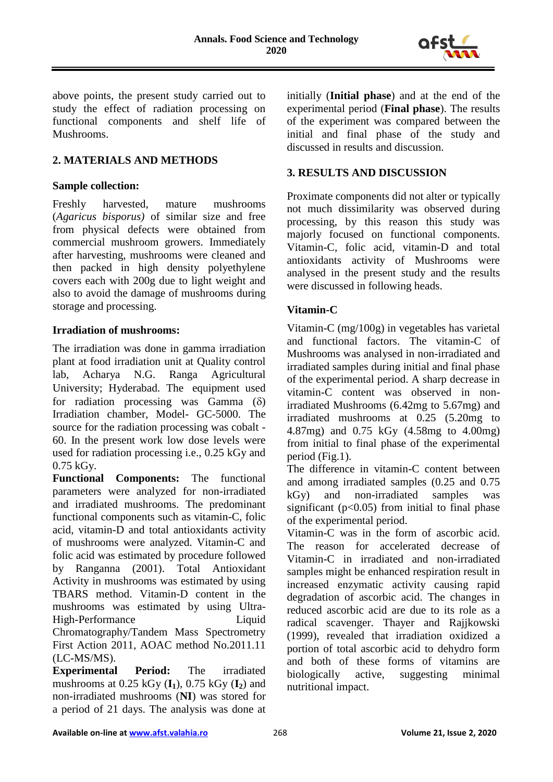

above points, the present study carried out to study the effect of radiation processing on functional components and shelf life of Mushrooms.

# **2. MATERIALS AND METHODS**

#### **Sample collection:**

Freshly harvested, mature mushrooms (*Agaricus bisporus)* of similar size and free from physical defects were obtained from commercial mushroom growers. Immediately after harvesting, mushrooms were cleaned and then packed in high density polyethylene covers each with 200g due to light weight and also to avoid the damage of mushrooms during storage and processing.

#### **Irradiation of mushrooms:**

The irradiation was done in gamma irradiation plant at food irradiation unit at Quality control lab, Acharya N.G. Ranga Agricultural University; Hyderabad. The equipment used for radiation processing was Gamma  $(\delta)$ Irradiation chamber, Model- GC-5000. The source for the radiation processing was cobalt - 60. In the present work low dose levels were used for radiation processing i.e., 0.25 kGy and 0.75 kGy.

**Functional Components:** The functional parameters were analyzed for non-irradiated and irradiated mushrooms. The predominant functional components such as vitamin-C, folic acid, vitamin-D and total antioxidants activity of mushrooms were analyzed. Vitamin-C and folic acid was estimated by procedure followed by Ranganna (2001). Total Antioxidant Activity in mushrooms was estimated by using TBARS method. Vitamin-D content in the mushrooms was estimated by using Ultra-High-Performance Liquid Chromatography/Tandem Mass Spectrometry First Action 2011, AOAC method No.2011.11 (LC-MS/MS).

**Experimental Period:** The irradiated mushrooms at 0.25 kGy (**I1**), 0.75 kGy (**I2**) and non-irradiated mushrooms (**NI**) was stored for a period of 21 days. The analysis was done at initially (**Initial phase**) and at the end of the experimental period (**Final phase**). The results of the experiment was compared between the initial and final phase of the study and discussed in results and discussion.

# **3. RESULTS AND DISCUSSION**

Proximate components did not alter or typically not much dissimilarity was observed during processing, by this reason this study was majorly focused on functional components. Vitamin-C, folic acid, vitamin-D and total antioxidants activity of Mushrooms were analysed in the present study and the results were discussed in following heads.

### **Vitamin-C**

Vitamin-C (mg/100g) in vegetables has varietal and functional factors. The vitamin-C of Mushrooms was analysed in non-irradiated and irradiated samples during initial and final phase of the experimental period. A sharp decrease in vitamin-C content was observed in nonirradiated Mushrooms (6.42mg to 5.67mg) and irradiated mushrooms at 0.25 (5.20mg to 4.87mg) and 0.75 kGy (4.58mg to 4.00mg) from initial to final phase of the experimental period (Fig.1).

The difference in vitamin-C content between and among irradiated samples (0.25 and 0.75 kGy) and non-irradiated samples was significant  $(p<0.05)$  from initial to final phase of the experimental period.

Vitamin-C was in the form of ascorbic acid. The reason for accelerated decrease of Vitamin-C in irradiated and non-irradiated samples might be enhanced respiration result in increased enzymatic activity causing rapid degradation of ascorbic acid. The changes in reduced ascorbic acid are due to its role as a radical scavenger. Thayer and Rajjkowski (1999), revealed that irradiation oxidized a portion of total ascorbic acid to dehydro form and both of these forms of vitamins are biologically active, suggesting minimal nutritional impact.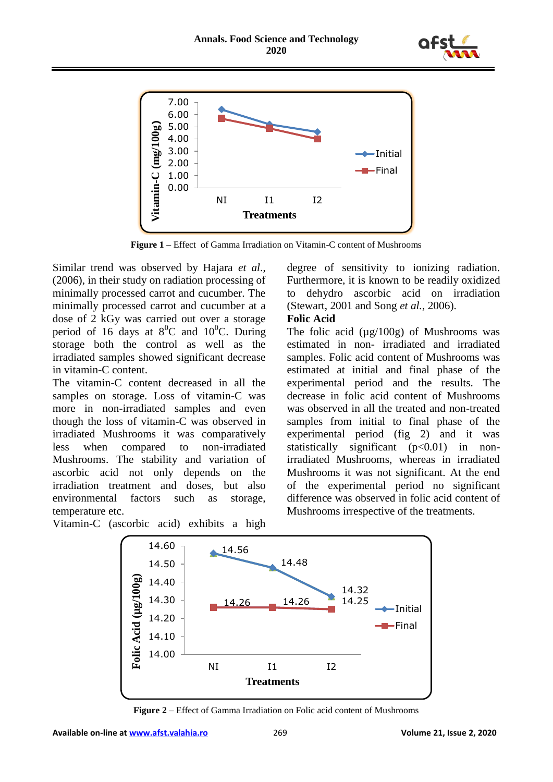



**Figure 1 –** Effect of Gamma Irradiation on Vitamin-C content of Mushrooms

Similar trend was observed by Hajara *et al*., (2006), in their study on radiation processing of minimally processed carrot and cucumber. The minimally processed carrot and cucumber at a dose of 2 kGy was carried out over a storage period of 16 days at  $8^0C$  and 10<sup>0</sup>C. During storage both the control as well as the irradiated samples showed significant decrease in vitamin-C content.

The vitamin-C content decreased in all the samples on storage. Loss of vitamin-C was more in non-irradiated samples and even though the loss of vitamin-C was observed in irradiated Mushrooms it was comparatively less when compared to non-irradiated Mushrooms. The stability and variation of ascorbic acid not only depends on the irradiation treatment and doses, but also environmental factors such as storage, temperature etc.

Vitamin-C (ascorbic acid) exhibits a high

degree of sensitivity to ionizing radiation. Furthermore, it is known to be readily oxidized to dehydro ascorbic acid on irradiation (Stewart, 2001 and Song *et al.*, 2006).

#### **Folic Acid**

The folic acid  $(\mu g/100g)$  of Mushrooms was estimated in non- irradiated and irradiated samples. Folic acid content of Mushrooms was estimated at initial and final phase of the experimental period and the results. The decrease in folic acid content of Mushrooms was observed in all the treated and non-treated samples from initial to final phase of the experimental period (fig 2) and it was statistically significant  $(p<0.01)$  in nonirradiated Mushrooms, whereas in irradiated Mushrooms it was not significant. At the end of the experimental period no significant difference was observed in folic acid content of Mushrooms irrespective of the treatments.



**Figure 2** – Effect of Gamma Irradiation on Folic acid content of Mushrooms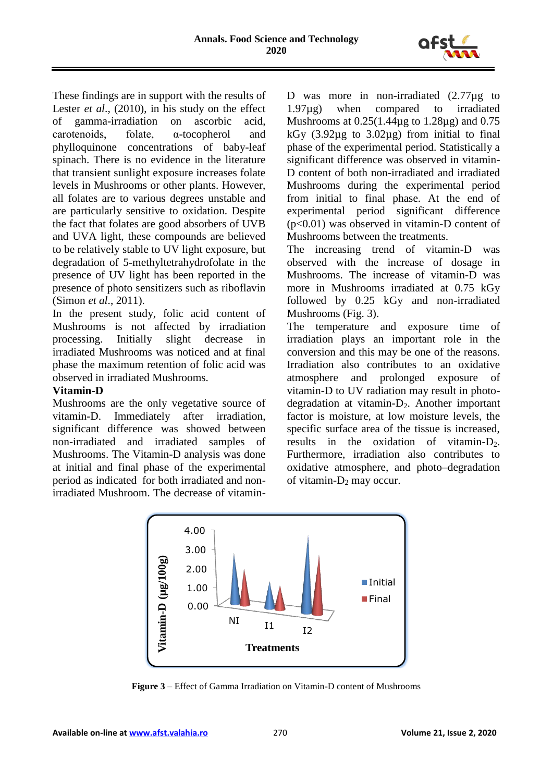

These findings are in support with the results of Lester *et al.*, (2010), in his study on the effect of gamma-irradiation on ascorbic acid, carotenoids, folate, α-tocopherol and phylloquinone concentrations of baby-leaf spinach. There is no evidence in the literature that transient sunlight exposure increases folate levels in Mushrooms or other plants. However, all folates are to various degrees unstable and are particularly sensitive to oxidation. Despite the fact that folates are good absorbers of UVB and UVA light, these compounds are believed to be relatively stable to UV light exposure, but degradation of 5-methyltetrahydrofolate in the presence of UV light has been reported in the presence of photo sensitizers such as riboflavin (Simon *et al*., 2011).

In the present study, folic acid content of Mushrooms is not affected by irradiation processing. Initially slight decrease in irradiated Mushrooms was noticed and at final phase the maximum retention of folic acid was observed in irradiated Mushrooms.

# **Vitamin-D**

Mushrooms are the only vegetative source of vitamin-D. Immediately after irradiation, significant difference was showed between non-irradiated and irradiated samples of Mushrooms. The Vitamin-D analysis was done at initial and final phase of the experimental period as indicated for both irradiated and nonirradiated Mushroom. The decrease of vitaminD was more in non-irradiated  $(2.77\mu g)$  to 1.97µg) when compared to irradiated Mushrooms at 0.25(1.44µg to 1.28µg) and 0.75 kGy  $(3.92\mu g)$  to  $3.02\mu g$  from initial to final phase of the experimental period. Statistically a significant difference was observed in vitamin-D content of both non-irradiated and irradiated Mushrooms during the experimental period from initial to final phase. At the end of experimental period significant difference (p<0.01) was observed in vitamin-D content of Mushrooms between the treatments.

The increasing trend of vitamin-D was observed with the increase of dosage in Mushrooms. The increase of vitamin-D was more in Mushrooms irradiated at 0.75 kGy followed by 0.25 kGy and non-irradiated Mushrooms (Fig. 3).

The temperature and exposure time of irradiation plays an important role in the conversion and this may be one of the reasons. Irradiation also contributes to an oxidative atmosphere and prolonged exposure of vitamin-D to UV radiation may result in photodegradation at vitamin- $D_2$ . Another important factor is moisture, at low moisture levels, the specific surface area of the tissue is increased, results in the oxidation of vitamin- $D_2$ . Furthermore, irradiation also contributes to oxidative atmosphere, and photo–degradation of vitamin- $D_2$  may occur.



**Figure 3** – Effect of Gamma Irradiation on Vitamin-D content of Mushrooms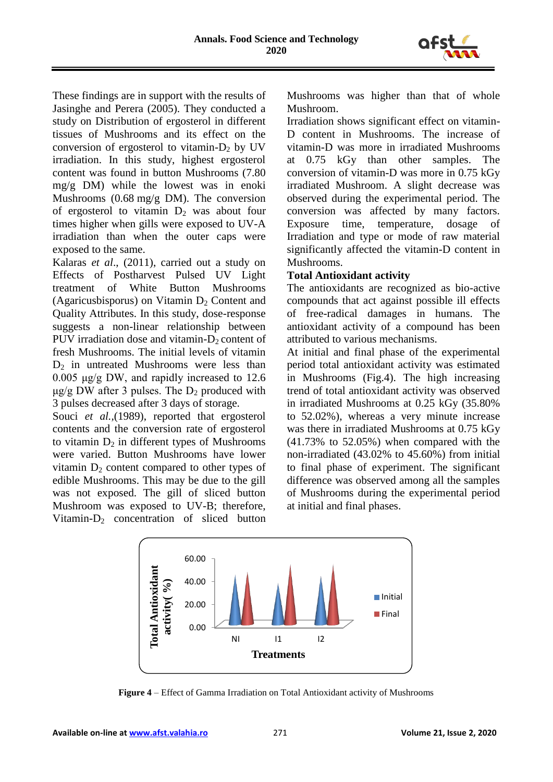

These findings are in support with the results of Jasinghe and Perera (2005). They conducted a study on Distribution of ergosterol in different tissues of Mushrooms and its effect on the conversion of ergosterol to vitamin- $D_2$  by UV irradiation. In this study, highest ergosterol content was found in button Mushrooms (7.80 mg/g DM) while the lowest was in enoki Mushrooms (0.68 mg/g DM). The conversion of ergosterol to vitamin  $D_2$  was about four times higher when gills were exposed to UV-A irradiation than when the outer caps were exposed to the same.

Kalaras *et al*., (2011), carried out a study on Effects of Postharvest Pulsed UV Light treatment of White Button Mushrooms (Agaricusbisporus) on Vitamin  $D_2$  Content and Quality Attributes. In this study, dose-response suggests a non-linear relationship between PUV irradiation dose and vitamin- $D_2$  content of fresh Mushrooms. The initial levels of vitamin  $D_2$  in untreated Mushrooms were less than 0.005 μg/g DW, and rapidly increased to 12.6  $\mu$ g/g DW after 3 pulses. The D<sub>2</sub> produced with 3 pulses decreased after 3 days of storage.

Souci *et al.*, (1989), reported that ergosterol contents and the conversion rate of ergosterol to vitamin  $D_2$  in different types of Mushrooms were varied. Button Mushrooms have lower vitamin  $D_2$  content compared to other types of edible Mushrooms. This may be due to the gill was not exposed. The gill of sliced button Mushroom was exposed to UV-B; therefore, Vitamin-D<sup>2</sup> concentration of sliced button Mushrooms was higher than that of whole Mushroom.

Irradiation shows significant effect on vitamin-D content in Mushrooms. The increase of vitamin-D was more in irradiated Mushrooms at 0.75 kGy than other samples. The conversion of vitamin-D was more in 0.75 kGy irradiated Mushroom. A slight decrease was observed during the experimental period. The conversion was affected by many factors. Exposure time, temperature, dosage of Irradiation and type or mode of raw material significantly affected the vitamin-D content in Mushrooms.

#### **Total Antioxidant activity**

The antioxidants are recognized as bio-active compounds that act against possible ill effects of free-radical damages in humans. The antioxidant activity of a compound has been attributed to various mechanisms.

At initial and final phase of the experimental period total antioxidant activity was estimated in Mushrooms (Fig.4). The high increasing trend of total antioxidant activity was observed in irradiated Mushrooms at 0.25 kGy (35.80% to 52.02%), whereas a very minute increase was there in irradiated Mushrooms at 0.75 kGy (41.73% to 52.05%) when compared with the non-irradiated (43.02% to 45.60%) from initial to final phase of experiment. The significant difference was observed among all the samples of Mushrooms during the experimental period at initial and final phases.



**Figure 4** – Effect of Gamma Irradiation on Total Antioxidant activity of Mushrooms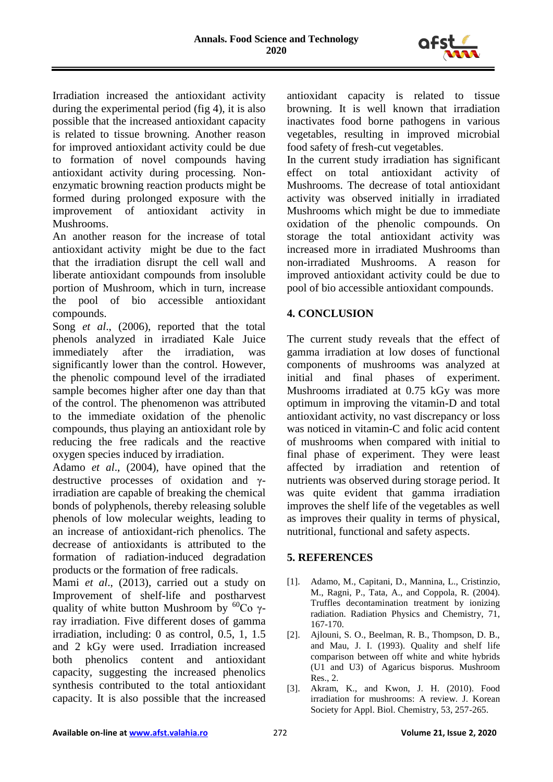

Irradiation increased the antioxidant activity during the experimental period (fig 4), it is also possible that the increased antioxidant capacity is related to tissue browning. Another reason for improved antioxidant activity could be due to formation of novel compounds having antioxidant activity during processing. Nonenzymatic browning reaction products might be formed during prolonged exposure with the improvement of antioxidant activity in Mushrooms.

An another reason for the increase of total antioxidant activity might be due to the fact that the irradiation disrupt the cell wall and liberate antioxidant compounds from insoluble portion of Mushroom, which in turn, increase the pool of bio accessible antioxidant compounds.

Song *et al*., (2006), reported that the total phenols analyzed in irradiated Kale Juice immediately after the irradiation, was significantly lower than the control. However, the phenolic compound level of the irradiated sample becomes higher after one day than that of the control. The phenomenon was attributed to the immediate oxidation of the phenolic compounds, thus playing an antioxidant role by reducing the free radicals and the reactive oxygen species induced by irradiation.

Adamo *et al*., (2004), have opined that the destructive processes of oxidation and γirradiation are capable of breaking the chemical bonds of polyphenols, thereby releasing soluble phenols of low molecular weights, leading to an increase of antioxidant-rich phenolics. The decrease of antioxidants is attributed to the formation of radiation-induced degradation products or the formation of free radicals.

Mami *et al*., (2013), carried out a study on Improvement of shelf-life and postharvest quality of white button Mushroom by  ${}^{60}Co$  γray irradiation. Five different doses of gamma irradiation, including: 0 as control, 0.5, 1, 1.5 and 2 kGy were used. Irradiation increased both phenolics content and antioxidant capacity, suggesting the increased phenolics synthesis contributed to the total antioxidant capacity. It is also possible that the increased

antioxidant capacity is related to tissue browning. It is well known that irradiation inactivates food borne pathogens in various vegetables, resulting in improved microbial food safety of fresh-cut vegetables.

In the current study irradiation has significant effect on total antioxidant activity of Mushrooms. The decrease of total antioxidant activity was observed initially in irradiated Mushrooms which might be due to immediate oxidation of the phenolic compounds. On storage the total antioxidant activity was increased more in irradiated Mushrooms than non-irradiated Mushrooms. A reason for improved antioxidant activity could be due to pool of bio accessible antioxidant compounds.

# **4. CONCLUSION**

The current study reveals that the effect of gamma irradiation at low doses of functional components of mushrooms was analyzed at initial and final phases of experiment. Mushrooms irradiated at 0.75 kGy was more optimum in improving the vitamin-D and total antioxidant activity, no vast discrepancy or loss was noticed in vitamin-C and folic acid content of mushrooms when compared with initial to final phase of experiment. They were least affected by irradiation and retention of nutrients was observed during storage period. It was quite evident that gamma irradiation improves the shelf life of the vegetables as well as improves their quality in terms of physical, nutritional, functional and safety aspects.

# **5. REFERENCES**

- [1]. Adamo, M., Capitani, D., Mannina, L., Cristinzio, M., Ragni, P., Tata, A., and Coppola, R. (2004). Truffles decontamination treatment by ionizing radiation. Radiation Physics and Chemistry, 71, 167-170.
- [2]. Ajlouni, S. O., Beelman, R. B., Thompson, D. B., and Mau, J. I. (1993). Quality and shelf life comparison between off white and white hybrids (U1 and U3) of Agaricus bisporus. Mushroom Res., 2.
- [3]. Akram, K., and Kwon, J. H. (2010). Food irradiation for mushrooms: A review. J. Korean Society for Appl. Biol. Chemistry, 53, 257-265.